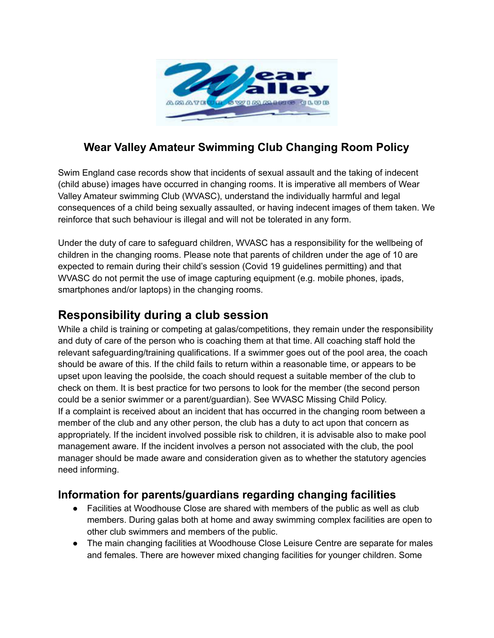

## **Wear Valley Amateur Swimming Club Changing Room Policy**

Swim England case records show that incidents of sexual assault and the taking of indecent (child abuse) images have occurred in changing rooms. It is imperative all members of Wear Valley Amateur swimming Club (WVASC), understand the individually harmful and legal consequences of a child being sexually assaulted, or having indecent images of them taken. We reinforce that such behaviour is illegal and will not be tolerated in any form.

Under the duty of care to safeguard children, WVASC has a responsibility for the wellbeing of children in the changing rooms. Please note that parents of children under the age of 10 are expected to remain during their child's session (Covid 19 guidelines permitting) and that WVASC do not permit the use of image capturing equipment (e.g. mobile phones, ipads, smartphones and/or laptops) in the changing rooms.

## **Responsibility during a club session**

While a child is training or competing at galas/competitions, they remain under the responsibility and duty of care of the person who is coaching them at that time. All coaching staff hold the relevant safeguarding/training qualifications. If a swimmer goes out of the pool area, the coach should be aware of this. If the child fails to return within a reasonable time, or appears to be upset upon leaving the poolside, the coach should request a suitable member of the club to check on them. It is best practice for two persons to look for the member (the second person could be a senior swimmer or a parent/guardian). See WVASC Missing Child Policy. If a complaint is received about an incident that has occurred in the changing room between a member of the club and any other person, the club has a duty to act upon that concern as appropriately. If the incident involved possible risk to children, it is advisable also to make pool management aware. If the incident involves a person not associated with the club, the pool manager should be made aware and consideration given as to whether the statutory agencies need informing.

## **Information for parents/guardians regarding changing facilities**

- Facilities at Woodhouse Close are shared with members of the public as well as club members. During galas both at home and away swimming complex facilities are open to other club swimmers and members of the public.
- The main changing facilities at Woodhouse Close Leisure Centre are separate for males and females. There are however mixed changing facilities for younger children. Some